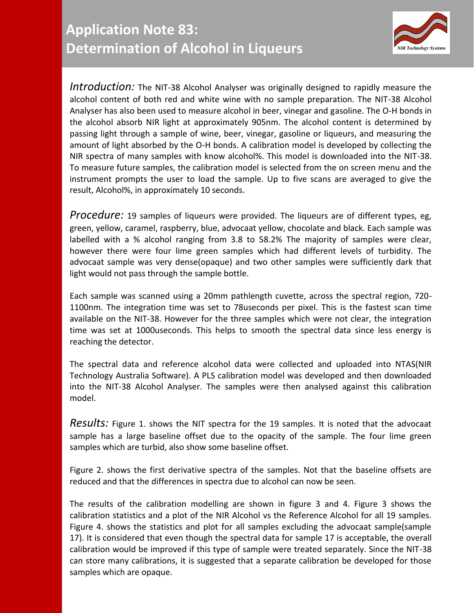

*Introduction:* The NIT-38 Alcohol Analyser was originally designed to rapidly measure the alcohol content of both red and white wine with no sample preparation. The NIT-38 Alcohol Analyser has also been used to measure alcohol in beer, vinegar and gasoline. The O-H bonds in the alcohol absorb NIR light at approximately 905nm. The alcohol content is determined by passing light through a sample of wine, beer, vinegar, gasoline or liqueurs, and measuring the amount of light absorbed by the O-H bonds. A calibration model is developed by collecting the NIR spectra of many samples with know alcohol%. This model is downloaded into the NIT-38. To measure future samples, the calibration model is selected from the on screen menu and the instrument prompts the user to load the sample. Up to five scans are averaged to give the result, Alcohol%, in approximately 10 seconds.

*Procedure:* 19 samples of liqueurs were provided. The liqueurs are of different types, eg, green, yellow, caramel, raspberry, blue, advocaat yellow, chocolate and black. Each sample was labelled with a % alcohol ranging from 3.8 to 58.2% The majority of samples were clear, however there were four lime green samples which had different levels of turbidity. The advocaat sample was very dense(opaque) and two other samples were sufficiently dark that light would not pass through the sample bottle.

Each sample was scanned using a 20mm pathlength cuvette, across the spectral region, 720- 1100nm. The integration time was set to 78useconds per pixel. This is the fastest scan time available on the NIT-38. However for the three samples which were not clear, the integration time was set at 1000useconds. This helps to smooth the spectral data since less energy is reaching the detector.

The spectral data and reference alcohol data were collected and uploaded into NTAS(NIR Technology Australia Software). A PLS calibration model was developed and then downloaded into the NIT-38 Alcohol Analyser. The samples were then analysed against this calibration model.

*Results:* Figure 1. shows the NIT spectra for the 19 samples. It is noted that the advocaat sample has a large baseline offset due to the opacity of the sample. The four lime green samples which are turbid, also show some baseline offset.

Figure 2. shows the first derivative spectra of the samples. Not that the baseline offsets are reduced and that the differences in spectra due to alcohol can now be seen.

The results of the calibration modelling are shown in figure 3 and 4. Figure 3 shows the calibration statistics and a plot of the NIR Alcohol vs the Reference Alcohol for all 19 samples. Figure 4. shows the statistics and plot for all samples excluding the advocaat sample(sample 17). It is considered that even though the spectral data for sample 17 is acceptable, the overall calibration would be improved if this type of sample were treated separately. Since the NIT-38 can store many calibrations, it is suggested that a separate calibration be developed for those samples which are opaque.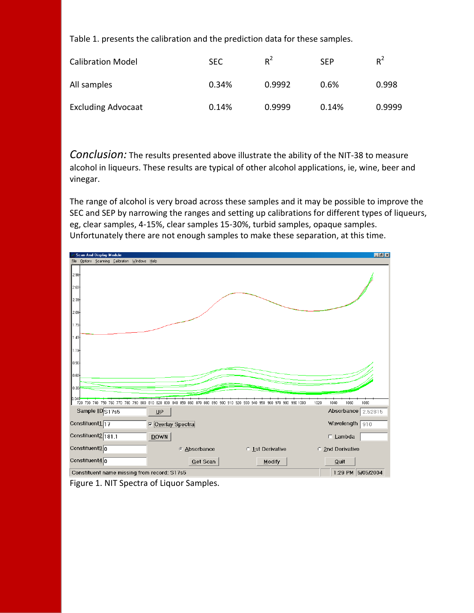Table 1. presents the calibration and the prediction data for these samples.

| <b>Calibration Model</b>  | <b>SEC</b> | $R^2$  | <b>SFP</b> | $R^2$  |
|---------------------------|------------|--------|------------|--------|
| All samples               | 0.34%      | 0.9992 | 0.6%       | 0.998  |
| <b>Excluding Advocaat</b> | 0.14%      | 0.9999 | 0.14%      | 0.9999 |

*Conclusion:* The results presented above illustrate the ability of the NIT-38 to measure alcohol in liqueurs. These results are typical of other alcohol applications, ie, wine, beer and vinegar.

The range of alcohol is very broad across these samples and it may be possible to improve the SEC and SEP by narrowing the ranges and setting up calibrations for different types of liqueurs, eg, clear samples, 4-15%, clear samples 15-30%, turbid samples, opaque samples. Unfortunately there are not enough samples to make these separation, at this time.



Figure 1. NIT Spectra of Liquor Samples.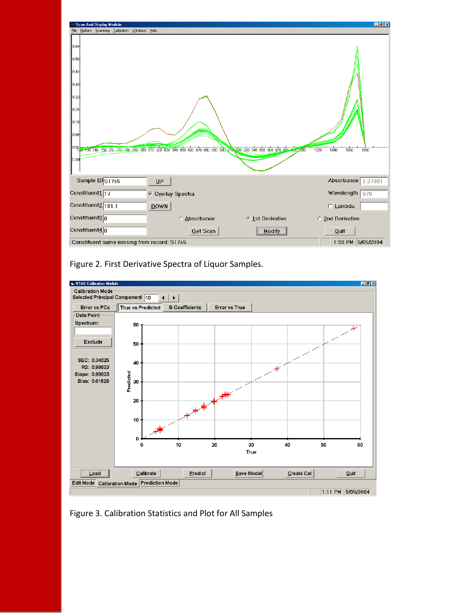

Figure 2. First Derivative Spectra of Liquor Samples.



Figure 3. Calibration Statistics and Plot for All Samples